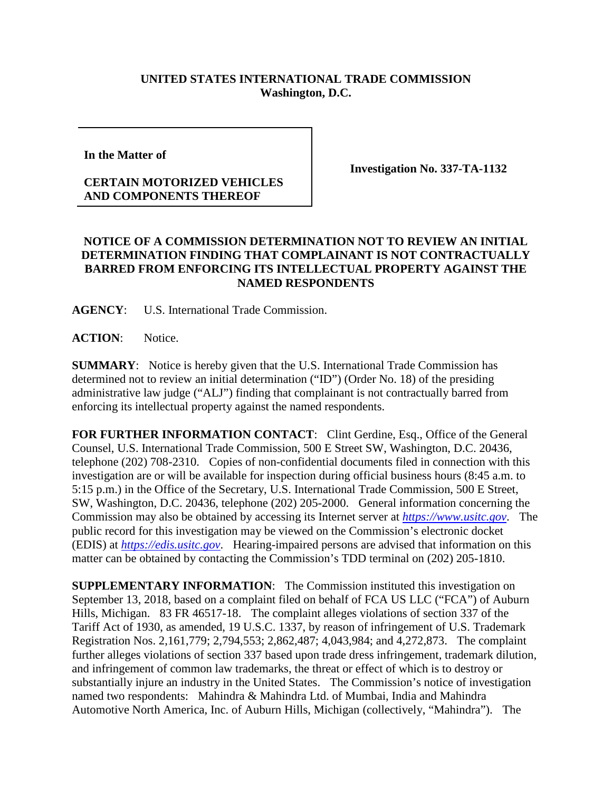## **UNITED STATES INTERNATIONAL TRADE COMMISSION Washington, D.C.**

**In the Matter of** 

## **CERTAIN MOTORIZED VEHICLES AND COMPONENTS THEREOF**

**Investigation No. 337-TA-1132**

## **NOTICE OF A COMMISSION DETERMINATION NOT TO REVIEW AN INITIAL DETERMINATION FINDING THAT COMPLAINANT IS NOT CONTRACTUALLY BARRED FROM ENFORCING ITS INTELLECTUAL PROPERTY AGAINST THE NAMED RESPONDENTS**

**AGENCY**: U.S. International Trade Commission.

**ACTION**: Notice.

**SUMMARY**: Notice is hereby given that the U.S. International Trade Commission has determined not to review an initial determination ("ID") (Order No. 18) of the presiding administrative law judge ("ALJ") finding that complainant is not contractually barred from enforcing its intellectual property against the named respondents.

FOR FURTHER INFORMATION CONTACT: Clint Gerdine, Esq., Office of the General Counsel, U.S. International Trade Commission, 500 E Street SW, Washington, D.C. 20436, telephone (202) 708-2310. Copies of non-confidential documents filed in connection with this investigation are or will be available for inspection during official business hours (8:45 a.m. to 5:15 p.m.) in the Office of the Secretary, U.S. International Trade Commission, 500 E Street, SW, Washington, D.C. 20436, telephone (202) 205-2000. General information concerning the Commission may also be obtained by accessing its Internet server at *[https://www.usitc.gov](https://www.usitc.gov/)*. The public record for this investigation may be viewed on the Commission's electronic docket (EDIS) at *[https://edis.usitc.gov](https://edis.usitc.gov/)*. Hearing-impaired persons are advised that information on this matter can be obtained by contacting the Commission's TDD terminal on (202) 205-1810.

**SUPPLEMENTARY INFORMATION:** The Commission instituted this investigation on September 13, 2018, based on a complaint filed on behalf of FCA US LLC ("FCA") of Auburn Hills, Michigan. 83 FR 46517-18. The complaint alleges violations of section 337 of the Tariff Act of 1930, as amended, 19 U.S.C. 1337, by reason of infringement of U.S. Trademark Registration Nos. 2,161,779; 2,794,553; 2,862,487; 4,043,984; and 4,272,873. The complaint further alleges violations of section 337 based upon trade dress infringement, trademark dilution, and infringement of common law trademarks, the threat or effect of which is to destroy or substantially injure an industry in the United States. The Commission's notice of investigation named two respondents: Mahindra & Mahindra Ltd. of Mumbai, India and Mahindra Automotive North America, Inc. of Auburn Hills, Michigan (collectively, "Mahindra"). The